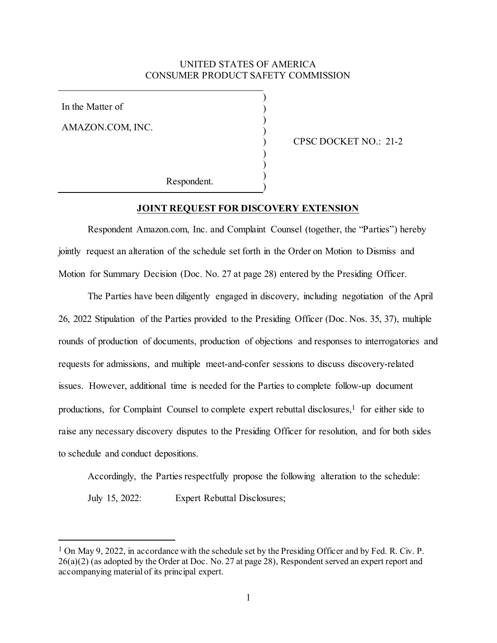## UNITED STATES OF AMERICA CONSUMER PRODUCT SAFETY COMMISSION

) ) ) ) ) ) ) ) )

In the Matter of

AMAZON.COM, INC.

CPSC DOCKET NO.: 21-2

Respondent.

## **JOINT REQUEST FOR DISCOVERY EXTENSION**

Respondent Amazon.com, Inc. and Complaint Counsel (together, the "Parties") hereby jointly request an alteration of the schedule set forth in the Order on Motion to Dismiss and Motion for Summary Decision (Doc. No. 27 at page 28) entered by the Presiding Officer.

The Parties have been diligently engaged in discovery, including negotiation of the April 26, 2022 Stipulation of the Parties provided to the Presiding Officer (Doc. Nos. 35, 37), multiple rounds of production of documents, production of objections and responses to interrogatories and requests for admissions, and multiple meet-and-confer sessions to discuss discovery-related issues. However, additional time is needed for the Parties to complete follow-up document productions, for Complaint Counsel to complete expert rebuttal disclosures,<sup>[1](#page-0-0)</sup> for either side to raise any necessary discovery disputes to the Presiding Officer for resolution, and for both sides to schedule and conduct depositions.

Accordingly, the Parties respectfully propose the following alteration to the schedule:

July 15, 2022: Expert Rebuttal Disclosures;

<span id="page-0-0"></span><sup>&</sup>lt;sup>1</sup> On May 9, 2022, in accordance with the schedule set by the Presiding Officer and by Fed. R. Civ. P. 26(a)(2) (as adopted by the Order at Doc. No. 27 at page 28), Respondent served an expert report and accompanying material of its principal expert.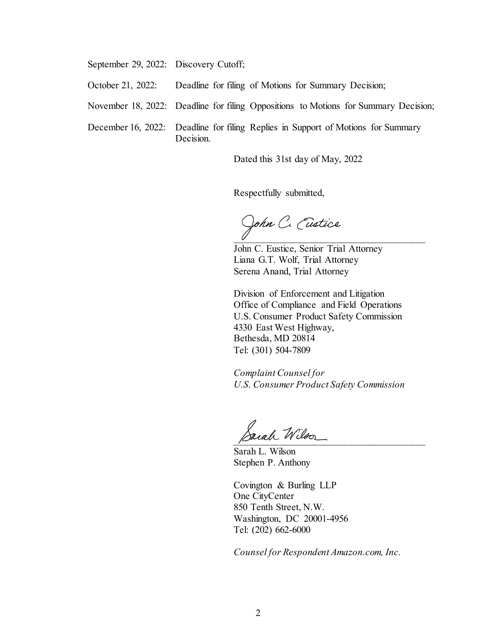September 29, 2022: Discovery Cutoff;

- October 21, 2022: Deadline for filing of Motions for Summary Decision;
- November 18, 2022: Deadline for filing Oppositions to Motions for Summary Decision;
- December 16, 2022: Deadline for filing Replies in Support of Motions for Summary Decision.

Dated this 31st day of May, 2022

Respectfully submitted,

John C. Eustice

John C. Eustice, Senior Trial Attorney Liana G.T. Wolf, Trial Attorney Serena Anand, Trial Attorney

Division of Enforcement and Litigation Office of Compliance and Field Operations U.S. Consumer Product Safety Commission 4330 East West Highway, Bethesda, MD 20814 Tel: (301) 504-7809

*Complaint Counsel for U.S. Consumer Product Safety Commission*

Sarah Wilson

Sarah L. Wilson Stephen P. Anthony

Covington & Burling LLP One CityCenter 850 Tenth Street, N.W. Washington, DC 20001-4956 Tel: (202) 662-6000

*Counsel for Respondent Amazon.com, Inc.*